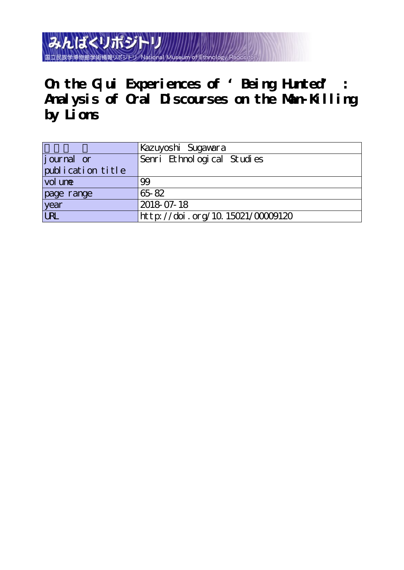みんぱくリポジト 国立民族学博物館学術情報リポジ

**On the G|ui Experiences of 'Being Hunted' : Analysis of Oral Discourses on the Man-Killing by Lions**

|                   | Kazuyoshi Sugawara               |
|-------------------|----------------------------------|
| journal or        | Senri Ethnological Studies       |
| publication title |                                  |
| vol une           | 99                               |
| page range        | 65-82                            |
| year<br>URL       | 2018 07-18                       |
|                   | http://doi.org/10.15021/00009120 |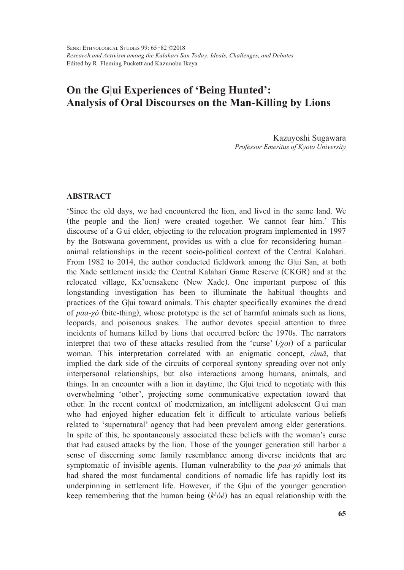# **On the G|ui Experiences of 'Being Hunted': Analysis of Oral Discourses on the Man-Killing by Lions**

Kazuyoshi Sugawara *Professor Emeritus of Kyoto University*

## **ABSTRACT**

'Since the old days, we had encountered the lion, and lived in the same land. We (the people and the lion) were created together. We cannot fear him.' This discourse of a G|ui elder, objecting to the relocation program implemented in 1997 by the Botswana government, provides us with a clue for reconsidering human– animal relationships in the recent socio-political context of the Central Kalahari. From 1982 to 2014, the author conducted fieldwork among the G|ui San, at both the Xade settlement inside the Central Kalahari Game Reserve (CKGR) and at the relocated village, Kx'oensakene (New Xade). One important purpose of this longstanding investigation has been to illuminate the habitual thoughts and practices of the G|ui toward animals. This chapter specifically examines the dread of *paa-χó* (bite-thing), whose prototype is the set of harmful animals such as lions, leopards, and poisonous snakes. The author devotes special attention to three incidents of humans killed by lions that occurred before the 1970s. The narrators interpret that two of these attacks resulted from the 'curse' (*/χoi*) of a particular woman. This interpretation correlated with an enigmatic concept, *cìmā*, that implied the dark side of the circuits of corporeal syntony spreading over not only interpersonal relationships, but also interactions among humans, animals, and things. In an encounter with a lion in daytime, the G|ui tried to negotiate with this overwhelming 'other', projecting some communicative expectation toward that other. In the recent context of modernization, an intelligent adolescent G|ui man who had enjoyed higher education felt it difficult to articulate various beliefs related to 'supernatural' agency that had been prevalent among elder generations. In spite of this, he spontaneously associated these beliefs with the woman's curse that had caused attacks by the lion. Those of the younger generation still harbor a sense of discerning some family resemblance among diverse incidents that are symptomatic of invisible agents. Human vulnerability to the *paa-χó* animals that had shared the most fundamental conditions of nomadic life has rapidly lost its underpinning in settlement life. However, if the G|ui of the younger generation keep remembering that the human being (*kh óè*) has an equal relationship with the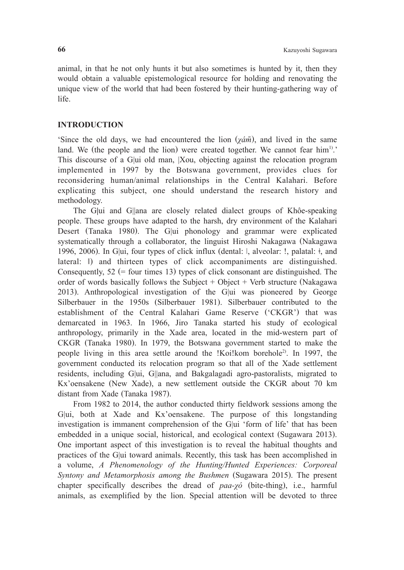animal, in that he not only hunts it but also sometimes is hunted by it, then they would obtain a valuable epistemological resource for holding and renovating the unique view of the world that had been fostered by their hunting-gathering way of life.

## **INTRODUCTION**

'Since the old days, we had encountered the lion  $(\chi d\tilde{m})$ , and lived in the same land. We (the people and the lion) were created together. We cannot fear  $\text{him}^{1)}$ . This discourse of a G|ui old man, |Xou, objecting against the relocation program implemented in 1997 by the Botswana government, provides clues for reconsidering human/animal relationships in the Central Kalahari. Before explicating this subject, one should understand the research history and methodology.

The G**|**ui and G||ana are closely related dialect groups of Khôe-speaking people. These groups have adapted to the harsh, dry environment of the Kalahari Desert (Tanaka 1980). The G|ui phonology and grammar were explicated systematically through a collaborator, the linguist Hiroshi Nakagawa (Nakagawa 1996, 2006). In G|ui, four types of click influx (dental: ǀ, alveolar: ǃ, palatal: ǂ, and lateral: ǁ) and thirteen types of click accompaniments are distinguished. Consequently,  $52$  (= four times 13) types of click consonant are distinguished. The order of words basically follows the Subject + Object + Verb structure (Nakagawa 2013). Anthropological investigation of the G|ui was pioneered by George Silberbauer in the 1950s (Silberbauer 1981). Silberbauer contributed to the establishment of the Central Kalahari Game Reserve ('CKGR') that was demarcated in 1963. In 1966, Jiro Tanaka started his study of ecological anthropology, primarily in the Xade area, located in the mid-western part of CKGR (Tanaka 1980). In 1979, the Botswana government started to make the people living in this area settle around the !Koi!kom borehole2). In 1997, the government conducted its relocation program so that all of the Xade settlement residents, including G|ui, G||ana, and Bakgalagadi agro-pastoralists, migrated to Kx'oensakene (New Xade), a new settlement outside the CKGR about 70 km distant from Xade (Tanaka 1987).

From 1982 to 2014, the author conducted thirty fieldwork sessions among the G|ui, both at Xade and Kx'oensakene. The purpose of this longstanding investigation is immanent comprehension of the G|ui 'form of life' that has been embedded in a unique social, historical, and ecological context (Sugawara 2013). One important aspect of this investigation is to reveal the habitual thoughts and practices of the G|ui toward animals. Recently, this task has been accomplished in a volume, *A Phenomenology of the Hunting/Hunted Experiences: Corporeal Syntony and Metamorphosis among the Bushmen* (Sugawara 2015). The present chapter specifically describes the dread of *paa-χó* (bite-thing), i.e., harmful animals, as exemplified by the lion. Special attention will be devoted to three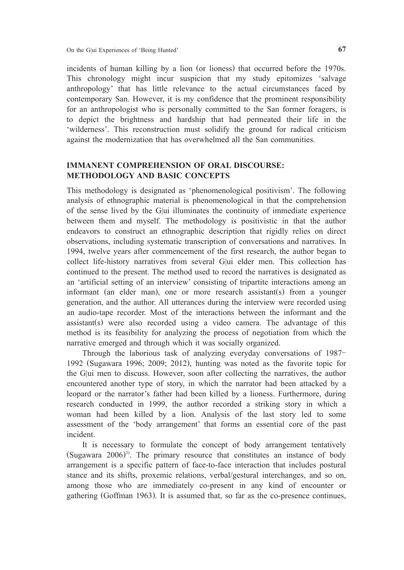incidents of human killing by a lion (or lioness) that occurred before the 1970s. This chronology might incur suspicion that my study epitomizes 'salvage anthropology' that has little relevance to the actual circumstances faced by contemporary San. However, it is my confidence that the prominent responsibility for an anthropologist who is personally committed to the San former foragers, is to depict the brightness and hardship that had permeated their life in the 'wilderness'. This reconstruction must solidify the ground for radical criticism against the modernization that has overwhelmed all the San communities.

# **IMMANENT COMPREHENSION OF ORAL DISCOURSE: METHODOLOGY AND BASIC CONCEPTS**

This methodology is designated as 'phenomenological positivism'. The following analysis of ethnographic material is phenomenological in that the comprehension of the sense lived by the G|ui illuminates the continuity of immediate experience between them and myself. The methodology is positivistic in that the author endeavors to construct an ethnographic description that rigidly relies on direct observations, including systematic transcription of conversations and narratives. In 1994, twelve years after commencement of the first research, the author began to collect life-history narratives from several G|ui elder men. This collection has continued to the present. The method used to record the narratives is designated as an 'artificial setting of an interview' consisting of tripartite interactions among an informant (an elder man), one or more research assistant(s) from a younger generation, and the author. All utterances during the interview were recorded using an audio-tape recorder. Most of the interactions between the informant and the assistant(s) were also recorded using a video camera. The advantage of this method is its feasibility for analyzing the process of negotiation from which the narrative emerged and through which it was socially organized.

Through the laborious task of analyzing everyday conversations of 1987- 1992 (Sugawara 1996; 2009; 2012), hunting was noted as the favorite topic for the G|ui men to discuss. However, soon after collecting the narratives, the author encountered another type of story, in which the narrator had been attacked by a leopard or the narrator's father had been killed by a lioness. Furthermore, during research conducted in 1999, the author recorded a striking story in which a woman had been killed by a lion. Analysis of the last story led to some assessment of the 'body arrangement' that forms an essential core of the past incident.

It is necessary to formulate the concept of body arrangement tentatively (Sugawara  $2006$ <sup>3)</sup>. The primary resource that constitutes an instance of body arrangement is a specific pattern of face-to-face interaction that includes postural stance and its shifts, proxemic relations, verbal/gestural interchanges, and so on, among those who are immediately co-present in any kind of encounter or gathering (Goffman 1963). It is assumed that, so far as the co-presence continues,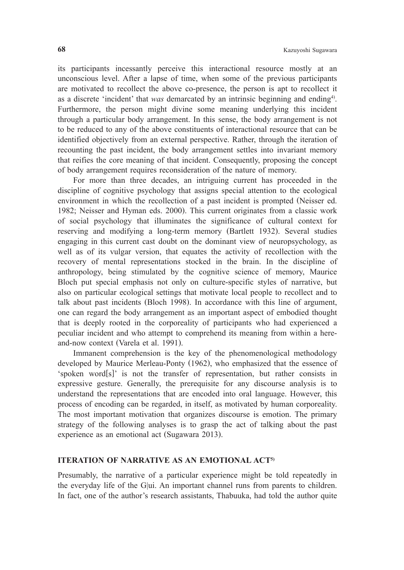its participants incessantly perceive this interactional resource mostly at an unconscious level. After a lapse of time, when some of the previous participants are motivated to recollect the above co-presence, the person is apt to recollect it as a discrete 'incident' that *was* demarcated by an intrinsic beginning and ending4). Furthermore, the person might divine some meaning underlying this incident through a particular body arrangement. In this sense, the body arrangement is not to be reduced to any of the above constituents of interactional resource that can be identified objectively from an external perspective. Rather, through the iteration of recounting the past incident, the body arrangement settles into invariant memory that reifies the core meaning of that incident. Consequently, proposing the concept of body arrangement requires reconsideration of the nature of memory.

For more than three decades, an intriguing current has proceeded in the discipline of cognitive psychology that assigns special attention to the ecological environment in which the recollection of a past incident is prompted (Neisser ed. 1982; Neisser and Hyman eds. 2000). This current originates from a classic work of social psychology that illuminates the significance of cultural context for reserving and modifying a long-term memory (Bartlett 1932). Several studies engaging in this current cast doubt on the dominant view of neuropsychology, as well as of its vulgar version, that equates the activity of recollection with the recovery of mental representations stocked in the brain. In the discipline of anthropology, being stimulated by the cognitive science of memory, Maurice Bloch put special emphasis not only on culture-specific styles of narrative, but also on particular ecological settings that motivate local people to recollect and to talk about past incidents (Bloch 1998). In accordance with this line of argument, one can regard the body arrangement as an important aspect of embodied thought that is deeply rooted in the corporeality of participants who had experienced a peculiar incident and who attempt to comprehend its meaning from within a hereand-now context (Varela et al. 1991).

Immanent comprehension is the key of the phenomenological methodology developed by Maurice Merleau-Ponty (1962), who emphasized that the essence of 'spoken word[s]' is not the transfer of representation, but rather consists in expressive gesture. Generally, the prerequisite for any discourse analysis is to understand the representations that are encoded into oral language. However, this process of encoding can be regarded, in itself, as motivated by human corporeality. The most important motivation that organizes discourse is emotion. The primary strategy of the following analyses is to grasp the act of talking about the past experience as an emotional act (Sugawara 2013).

## **ITERATION OF NARRATIVE AS AN EMOTIONAL ACT5)**

Presumably, the narrative of a particular experience might be told repeatedly in the everyday life of the G|ui. An important channel runs from parents to children. In fact, one of the author's research assistants, Thabuuka, had told the author quite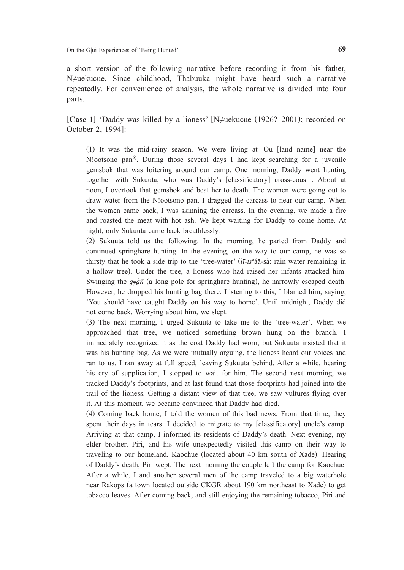a short version of the following narrative before recording it from his father, N≠uekucue. Since childhood, Thabuuka might have heard such a narrative repeatedly. For convenience of analysis, the whole narrative is divided into four parts.

**[Case 1]** 'Daddy was killed by a lioness' [N≠uekucue (1926?–2001); recorded on October 2, 1994]:

(1) It was the mid-rainy season. We were living at |Ou [land name] near the N!ootsono pan<sup>6</sup>. During those several days I had kept searching for a juvenile gemsbok that was loitering around our camp. One morning, Daddy went hunting together with Sukuuta, who was Daddy's [classificatory] cross-cousin. About at noon, I overtook that gemsbok and beat her to death. The women were going out to draw water from the N!ootsono pan. I dragged the carcass to near our camp. When the women came back, I was skinning the carcass. In the evening, we made a fire and roasted the meat with hot ash. We kept waiting for Daddy to come home. At night, only Sukuuta came back breathlessly.

(2) Sukuuta told us the following. In the morning, he parted from Daddy and continued springhare hunting. In the evening, on the way to our camp, he was so thirsty that he took a side trip to the 'tree-water' (*ìī-ts<sup>h</sup>* áā-sà: rain water remaining in a hollow tree). Under the tree, a lioness who had raised her infants attacked him. Swinging the  $q \neq \hat{q} \bar{n}$  (a long pole for springhare hunting), he narrowly escaped death. However, he dropped his hunting bag there. Listening to this, I blamed him, saying, 'You should have caught Daddy on his way to home'. Until midnight, Daddy did not come back. Worrying about him, we slept.

(3) The next morning, I urged Sukuuta to take me to the 'tree-water'. When we approached that tree, we noticed something brown hung on the branch. I immediately recognized it as the coat Daddy had worn, but Sukuuta insisted that it was his hunting bag. As we were mutually arguing, the lioness heard our voices and ran to us. I ran away at full speed, leaving Sukuuta behind. After a while, hearing his cry of supplication, I stopped to wait for him. The second next morning, we tracked Daddy's footprints, and at last found that those footprints had joined into the trail of the lioness. Getting a distant view of that tree, we saw vultures flying over it. At this moment, we became convinced that Daddy had died.

(4) Coming back home, I told the women of this bad news. From that time, they spent their days in tears. I decided to migrate to my [classificatory] uncle's camp. Arriving at that camp, I informed its residents of Daddy's death. Next evening, my elder brother, Piri, and his wife unexpectedly visited this camp on their way to traveling to our homeland, Kaochue (located about 40 km south of Xade). Hearing of Daddy's death, Piri wept. The next morning the couple left the camp for Kaochue. After a while, I and another several men of the camp traveled to a big waterhole near Rakops (a town located outside CKGR about 190 km northeast to Xade) to get tobacco leaves. After coming back, and still enjoying the remaining tobacco, Piri and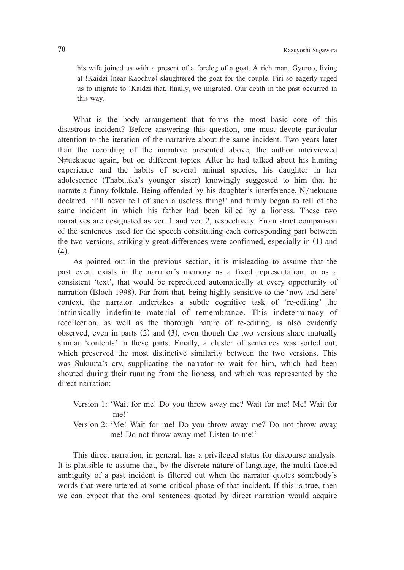his wife joined us with a present of a foreleg of a goat. A rich man, Gyuroo, living at !Kaidzi (near Kaochue) slaughtered the goat for the couple. Piri so eagerly urged us to migrate to !Kaidzi that, finally, we migrated. Our death in the past occurred in this way.

What is the body arrangement that forms the most basic core of this disastrous incident? Before answering this question, one must devote particular attention to the iteration of the narrative about the same incident. Two years later than the recording of the narrative presented above, the author interviewed N≠uekucue again, but on different topics. After he had talked about his hunting experience and the habits of several animal species, his daughter in her adolescence (Thabuuka's younger sister) knowingly suggested to him that he narrate a funny folktale. Being offended by his daughter's interference, N≠uekucue declared, 'I'll never tell of such a useless thing!' and firmly began to tell of the same incident in which his father had been killed by a lioness. These two narratives are designated as ver. 1 and ver. 2, respectively. From strict comparison of the sentences used for the speech constituting each corresponding part between the two versions, strikingly great differences were confirmed, especially in (1) and (4).

As pointed out in the previous section, it is misleading to assume that the past event exists in the narrator's memory as a fixed representation, or as a consistent 'text', that would be reproduced automatically at every opportunity of narration (Bloch 1998). Far from that, being highly sensitive to the 'now-and-here' context, the narrator undertakes a subtle cognitive task of 're-editing' the intrinsically indefinite material of remembrance. This indeterminacy of recollection, as well as the thorough nature of re-editing, is also evidently observed, even in parts (2) and (3), even though the two versions share mutually similar 'contents' in these parts. Finally, a cluster of sentences was sorted out, which preserved the most distinctive similarity between the two versions. This was Sukuuta's cry, supplicating the narrator to wait for him, which had been shouted during their running from the lioness, and which was represented by the direct narration:

- Version 1: 'Wait for me! Do you throw away me? Wait for me! Me! Wait for me!'
- Version 2: 'Me! Wait for me! Do you throw away me? Do not throw away me! Do not throw away me! Listen to me!'

This direct narration, in general, has a privileged status for discourse analysis. It is plausible to assume that, by the discrete nature of language, the multi-faceted ambiguity of a past incident is filtered out when the narrator quotes somebody's words that were uttered at some critical phase of that incident. If this is true, then we can expect that the oral sentences quoted by direct narration would acquire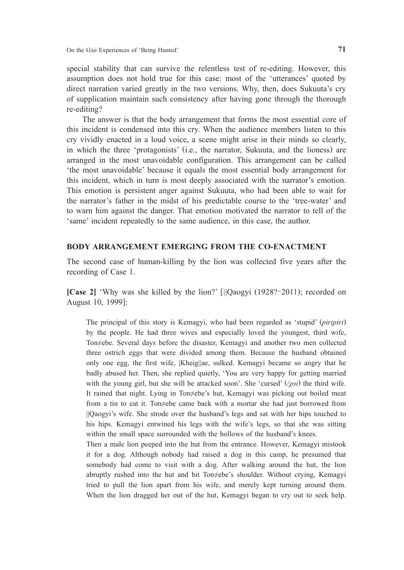special stability that can survive the relentless test of re-editing. However, this assumption does not hold true for this case: most of the 'utterances' quoted by direct narration varied greatly in the two versions. Why, then, does Sukuuta's cry of supplication maintain such consistency after having gone through the thorough re-editing?

The answer is that the body arrangement that forms the most essential core of this incident is condensed into this cry. When the audience members listen to this cry vividly enacted in a loud voice, a scene might arise in their minds so clearly, in which the three 'protagonists' (i.e., the narrator, Sukuuta, and the lioness) are arranged in the most unavoidable configuration. This arrangement can be called 'the most unavoidable' because it equals the most essential body arrangement for this incident, which in turn is most deeply associated with the narrator's emotion. This emotion is persistent anger against Sukuuta, who had been able to wait for the narrator's father in the midst of his predictable course to the 'tree-water' and to warn him against the danger. That emotion motivated the narrator to tell of the 'same' incident repeatedly to the same audience, in this case, the author.

# **BODY ARRANGEMENT EMERGING FROM THE CO-ENACTMENT**

The second case of human-killing by the lion was collected five years after the recording of Case 1.

**[Case 2]** 'Why was she killed by the lion?' [*|*|Qaogyi (1928?-2011); recorded on August 10, 1999]:

The principal of this story is Kemagyi, who had been regarded as 'stupid' (*piripiri*) by the people. He had three wives and especially loved the youngest, third wife, Ton≠ebe. Several days before the disaster, Kemagyi and another two men collected three ostrich eggs that were divided among them. Because the husband obtained only one egg, the first wife, |Kheig||ae, sulked. Kemagyi became so angry that he badly abused her. Then, she replied quietly, 'You are very happy for getting married with the young girl, but she will be attacked soon'. She 'cursed' (*/χoi*) the third wife. It rained that night. Lying in Ton≠ebe's hut, Kemagyi was picking out boiled meat from a tin to eat it. Ton≠ebe came back with a mortar she had just borrowed from ||Qaogyi's wife. She strode over the husband's legs and sat with her hips touched to his hips. Kemagyi entwined his legs with the wife's legs, so that she was sitting within the small space surrounded with the hollows of the husband's knees.

Then a male lion peeped into the hut from the entrance. However, Kemagyi mistook it for a dog. Although nobody had raised a dog in this camp, he presumed that somebody had come to visit with a dog. After walking around the hut, the lion abruptly rushed into the hut and bit Ton≠ebe's shoulder. Without crying, Kemagyi tried to pull the lion apart from his wife, and merely kept turning around them. When the lion dragged her out of the hut, Kemagyi began to cry out to seek help.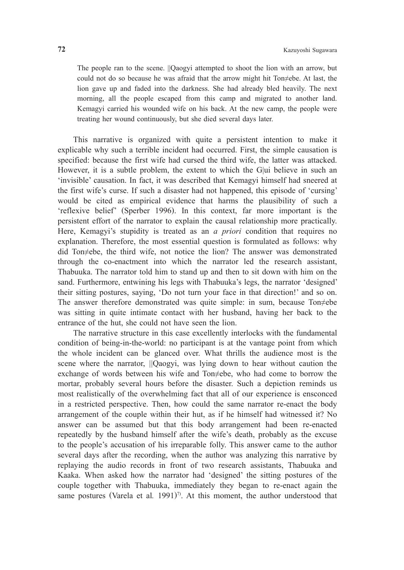The people ran to the scene. ||Qaogyi attempted to shoot the lion with an arrow, but could not do so because he was afraid that the arrow might hit Ton≠ebe. At last, the lion gave up and faded into the darkness. She had already bled heavily. The next morning, all the people escaped from this camp and migrated to another land. Kemagyi carried his wounded wife on his back. At the new camp, the people were treating her wound continuously, but she died several days later.

This narrative is organized with quite a persistent intention to make it explicable why such a terrible incident had occurred. First, the simple causation is specified: because the first wife had cursed the third wife, the latter was attacked. However, it is a subtle problem, the extent to which the G|ui believe in such an 'invisible' causation. In fact, it was described that Kemagyi himself had sneered at the first wife's curse. If such a disaster had not happened, this episode of 'cursing' would be cited as empirical evidence that harms the plausibility of such a 'reflexive belief' (Sperber 1996). In this context, far more important is the persistent effort of the narrator to explain the causal relationship more practically. Here, Kemagyi's stupidity is treated as an *a priori* condition that requires no explanation. Therefore, the most essential question is formulated as follows: why did Ton≠ebe, the third wife, not notice the lion? The answer was demonstrated through the co-enactment into which the narrator led the research assistant, Thabuuka. The narrator told him to stand up and then to sit down with him on the sand. Furthermore, entwining his legs with Thabuuka's legs, the narrator 'designed' their sitting postures, saying, 'Do not turn your face in that direction!' and so on. The answer therefore demonstrated was quite simple: in sum, because Ton≠ebe was sitting in quite intimate contact with her husband, having her back to the entrance of the hut, she could not have seen the lion.

The narrative structure in this case excellently interlocks with the fundamental condition of being-in-the-world: no participant is at the vantage point from which the whole incident can be glanced over. What thrills the audience most is the scene where the narrator, *|*|Qaogyi, was lying down to hear without caution the exchange of words between his wife and Ton≠ebe, who had come to borrow the mortar, probably several hours before the disaster. Such a depiction reminds us most realistically of the overwhelming fact that all of our experience is ensconced in a restricted perspective. Then, how could the same narrator re-enact the body arrangement of the couple within their hut, as if he himself had witnessed it? No answer can be assumed but that this body arrangement had been re-enacted repeatedly by the husband himself after the wife's death, probably as the excuse to the people's accusation of his irreparable folly. This answer came to the author several days after the recording, when the author was analyzing this narrative by replaying the audio records in front of two research assistants, Thabuuka and Kaaka. When asked how the narrator had 'designed' the sitting postures of the couple together with Thabuuka, immediately they began to re-enact again the same postures (Varela et al. 1991)<sup>7)</sup>. At this moment, the author understood that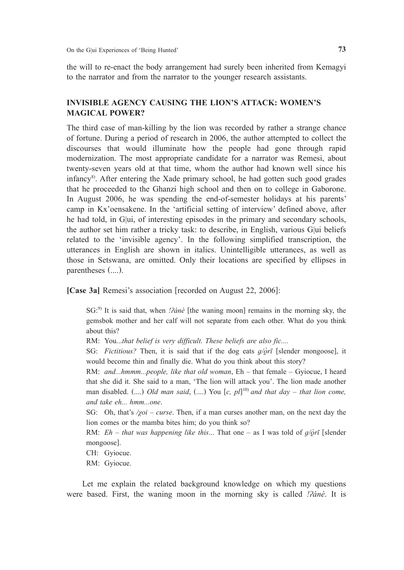the will to re-enact the body arrangement had surely been inherited from Kemagyi to the narrator and from the narrator to the younger research assistants.

# **INVISIBLE AGENCY CAUSING THE LION'S ATTACK: WOMEN'S MAGICAL POWER?**

The third case of man-killing by the lion was recorded by rather a strange chance of fortune. During a period of research in 2006, the author attempted to collect the discourses that would illuminate how the people had gone through rapid modernization. The most appropriate candidate for a narrator was Remesi, about twenty-seven years old at that time, whom the author had known well since his infancy<sup>8)</sup>. After entering the Xade primary school, he had gotten such good grades that he proceeded to the Ghanzi high school and then on to college in Gaborone. In August 2006, he was spending the end-of-semester holidays at his parents' camp in Kx'oensakene. In the 'artificial setting of interview' defined above, after he had told, in G|ui, of interesting episodes in the primary and secondary schools, the author set him rather a tricky task: to describe, in English, various G|ui beliefs related to the 'invisible agency'. In the following simplified transcription, the utterances in English are shown in italics. Unintelligible utterances, as well as those in Setswana, are omitted. Only their locations are specified by ellipses in parentheses (....).

**[Case 3a]** Remesi's association [recorded on August 22, 2006]:

SG:<sup>9)</sup> It is said that, when *!?ánè* [the waning moon] remains in the morning sky, the gemsbok mother and her calf will not separate from each other. What do you think about this?

RM: You...*that belief is very difficult. These beliefs are also fic....*

SG: *Fictitious?* Then, it is said that if the dog eats *ɡ/ò̰ rī* [slender mongoose], it would become thin and finally die. What do you think about this story?

RM: *and...hmmm...people, like that old woman*, Eh – that female – Gyiocue, I heard that she did it. She said to a man, 'The lion will attack you'. The lion made another man disabled. (....) *Old man said*, (....) You [*c, pl*] 10) *and that day – that lion come, and take eh... hmm...one*.

SG: Oh, that's /*χoi* – *curse*. Then, if a man curses another man, on the next day the lion comes or the mamba bites him; do you think so?

RM: *Eh – that was happening like this*... That one – as I was told of *ɡ/ò̰ rī* [slender mongoose].

CH: Gyiocue.

RM: Gyiocue.

Let me explain the related background knowledge on which my questions were based. First, the waning moon in the morning sky is called *[ʔánè*. It is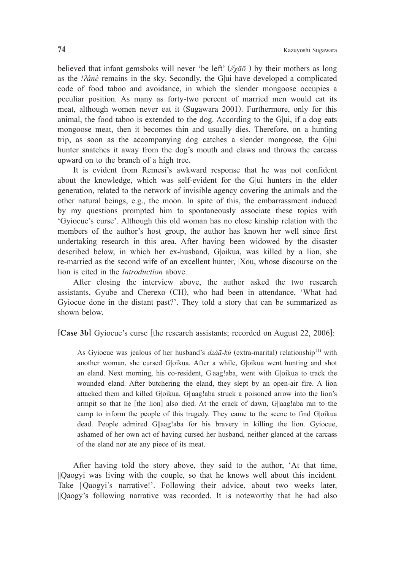believed that infant gemsboks will never 'be left' (*//χāō* ) by their mothers as long as the *ǃʔánè* remains in the sky. Secondly, the G|ui have developed a complicated code of food taboo and avoidance, in which the slender mongoose occupies a peculiar position. As many as forty-two percent of married men would eat its meat, although women never eat it (Sugawara 2001). Furthermore, only for this animal, the food taboo is extended to the dog. According to the G|ui, if a dog eats mongoose meat, then it becomes thin and usually dies. Therefore, on a hunting trip, as soon as the accompanying dog catches a slender mongoose, the G|ui hunter snatches it away from the dog's mouth and claws and throws the carcass upward on to the branch of a high tree.

It is evident from Remesi's awkward response that he was not confident about the knowledge, which was self-evident for the G|ui hunters in the elder generation, related to the network of invisible agency covering the animals and the other natural beings, e.g., the moon. In spite of this, the embarrassment induced by my questions prompted him to spontaneously associate these topics with 'Gyiocue's curse'. Although this old woman has no close kinship relation with the members of the author's host group, the author has known her well since first undertaking research in this area. After having been widowed by the disaster described below, in which her ex-husband, G|oikua, was killed by a lion, she re-married as the second wife of an excellent hunter, |Xou, whose discourse on the lion is cited in the *Introduction* above.

After closing the interview above, the author asked the two research assistants, Gyube and Cherexo (CH), who had been in attendance, 'What had Gyiocue done in the distant past?'. They told a story that can be summarized as shown below.

**[Case 3b]** Gyiocue's curse [the research assistants; recorded on August 22, 2006]:

As Gyiocue was jealous of her husband's *dzáã-kú* (extra-marital) relationship<sup>11)</sup> with another woman, she cursed G|oikua. After a while, G|oikua went hunting and shot an eland. Next morning, his co-resident, G|aag!aba, went with G|oikua to track the wounded eland. After butchering the eland, they slept by an open-air fire. A lion attacked them and killed G|oikua. G||aag!aba struck a poisoned arrow into the lion's armpit so that he [the lion] also died. At the crack of dawn, G||aag!aba ran to the camp to inform the people of this tragedy. They came to the scene to find G|oikua dead. People admired G||aag!aba for his bravery in killing the lion. Gyiocue, ashamed of her own act of having cursed her husband, neither glanced at the carcass of the eland nor ate any piece of its meat.

After having told the story above, they said to the author, 'At that time, ||Qaogyi was living with the couple, so that he knows well about this incident. Take ||Qaogyi's narrative!'. Following their advice, about two weeks later, ||Qaogy's following narrative was recorded. It is noteworthy that he had also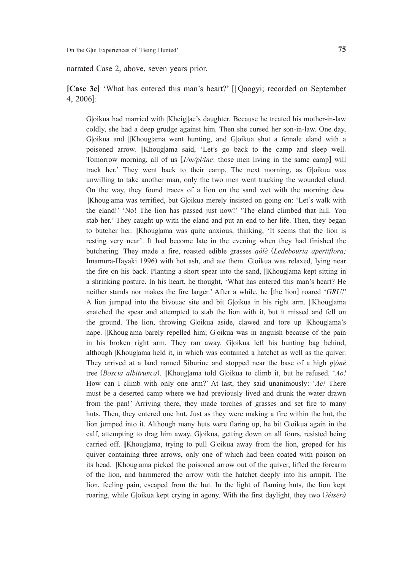narrated Case 2, above, seven years prior.

**[Case 3c]** 'What has entered this man's heart?' [||Qaogyi; recorded on September 4, 2006]:

G|oikua had married with |Kheig||ae's daughter. Because he treated his mother-in-law coldly, she had a deep grudge against him. Then she cursed her son-in-law. One day, G|oikua and ||Khoug|ama went hunting, and G|oikua shot a female eland with a poisoned arrow. ||Khoug|ama said, 'Let's go back to the camp and sleep well. Tomorrow morning, all of us [*1/m/pl/inc*: those men living in the same camp] will track her.' They went back to their camp. The next morning, as G|oikua was unwilling to take another man, only the two men went tracking the wounded eland. On the way, they found traces of a lion on the sand wet with the morning dew. ||Khoug|ama was terrified, but G|oikua merely insisted on going on: 'Let's walk with the eland!' 'No! The lion has passed just now!' 'The eland climbed that hill. You stab her.' They caught up with the eland and put an end to her life. Then, they began to butcher her. ||Khoug|ama was quite anxious, thinking, 'It seems that the lion is resting very near'. It had become late in the evening when they had finished the butchering. They made a fire, roasted edible grasses *qólè* (*Ledebouria apertiflora;*  Imamura-Hayaki 1996) with hot ash, and ate them. G|oikua was relaxed, lying near the fire on his back. Planting a short spear into the sand, ||Khoug|ama kept sitting in a shrinking posture. In his heart, he thought, 'What has entered this man's heart? He neither stands nor makes the fire larger.' After a while, he [the lion] roared '*GRU!*' A lion jumped into the bivouac site and bit G|oikua in his right arm. ||Khoug|ama snatched the spear and attempted to stab the lion with it, but it missed and fell on the ground. The lion, throwing G|oikua aside, clawed and tore up |Khoug|ama's nape. ||Khoug|ama barely repelled him; G|oikua was in anguish because of the pain in his broken right arm. They ran away. G|oikua left his hunting bag behind, although |Khoug|ama held it, in which was contained a hatchet as well as the quiver. They arrived at a land named Siburiue and stopped near the base of a high *ŋ|ònē*  tree (*Boscia albitrunca*). ||Khoug|ama told G|oikua to climb it, but he refused. '*Ao!* How can I climb with only one arm?' At last, they said unanimously: '*Ae!* There must be a deserted camp where we had previously lived and drunk the water drawn from the pan!' Arriving there, they made torches of grasses and set fire to many huts. Then, they entered one hut. Just as they were making a fire within the hut, the lion jumped into it. Although many huts were flaring up, he bit G|oikua again in the calf, attempting to drag him away. G|oikua, getting down on all fours, resisted being carried off. ||Khoug|ama, trying to pull G|oikua away from the lion, groped for his quiver containing three arrows, only one of which had been coated with poison on its head. ||Khoug|ama picked the poisoned arrow out of the quiver, lifted the forearm of the lion, and hammered the arrow with the hatchet deeply into his armpit. The lion, feeling pain, escaped from the hut. In the light of flaming huts, the lion kept roaring, while G|oikua kept crying in agony. With the first daylight, they two (*ʔétsērà*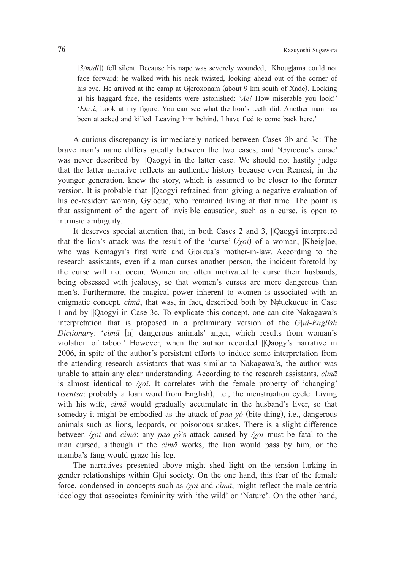[ $3/m/dl$ ]) fell silent. Because his nape was severely wounded, ||Khoug|ama could not face forward: he walked with his neck twisted, looking ahead out of the corner of his eye. He arrived at the camp at G|eroxonam (about 9 km south of Xade). Looking at his haggard face, the residents were astonished: '*Ae!* How miserable you look!' '*Eh::i*, Look at my figure. You can see what the lion's teeth did. Another man has been attacked and killed. Leaving him behind, I have fled to come back here.'

A curious discrepancy is immediately noticed between Cases 3b and 3c: The brave man's name differs greatly between the two cases, and 'Gyiocue's curse' was never described by ||Qaogyi in the latter case. We should not hastily judge that the latter narrative reflects an authentic history because even Remesi, in the younger generation, knew the story, which is assumed to be closer to the former version. It is probable that ||Qaogyi refrained from giving a negative evaluation of his co-resident woman, Gyiocue, who remained living at that time. The point is that assignment of the agent of invisible causation, such as a curse, is open to intrinsic ambiguity.

It deserves special attention that, in both Cases 2 and 3, ||Qaogyi interpreted that the lion's attack was the result of the 'curse' (*/χoi*) of a woman, |Kheig||ae, who was Kemagyi's first wife and G|oikua's mother-in-law. According to the research assistants, even if a man curses another person, the incident foretold by the curse will not occur. Women are often motivated to curse their husbands, being obsessed with jealousy, so that women's curses are more dangerous than men's. Furthermore, the magical power inherent to women is associated with an enigmatic concept,  $\vec{c}$ *imā*, that was, in fact, described both by N≠uekucue in Case 1 and by ||Qaogyi in Case 3c. To explicate this concept, one can cite Nakagawa's interpretation that is proposed in a preliminary version of the *G|ui-English Dictionar*y: '*cìmā* [n] dangerous animals' anger, which results from woman's violation of taboo.' However, when the author recorded ||Qaogy's narrative in 2006, in spite of the author's persistent efforts to induce some interpretation from the attending research assistants that was similar to Nakagawa's, the author was unable to attain any clear understanding. According to the research assistants, *cìmā* is almost identical to */χoi*. It correlates with the female property of 'changing' (*tsentsa*: probably a loan word from English), i.e., the menstruation cycle. Living with his wife, *cìmā* would gradually accumulate in the husband's liver, so that someday it might be embodied as the attack of *paa-χó* (bite-thing), i.e., dangerous animals such as lions, leopards, or poisonous snakes. There is a slight difference between */χoi* and *cìmā*: any *paa-χó*'s attack caused by */χoi* must be fatal to the man cursed, although if the *cìmā* works, the lion would pass by him, or the mamba's fang would graze his leg.

The narratives presented above might shed light on the tension lurking in gender relationships within G|ui society. On the one hand, this fear of the female force, condensed in concepts such as */χoi* and *cìmā*, might reflect the male-centric ideology that associates femininity with 'the wild' or 'Nature'. On the other hand,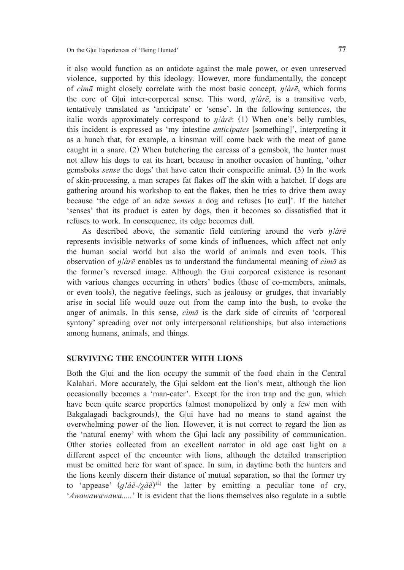it also would function as an antidote against the male power, or even unreserved violence, supported by this ideology. However, more fundamentally, the concept of *cìmā* might closely correlate with the most basic concept, *ŋǃàrē*, which forms the core of G|ui inter-corporeal sense. This word, *ŋǃàrē*, is a transitive verb, tentatively translated as 'anticipate' or 'sense'. In the following sentences, the italic words approximately correspond to  $\eta/\partial r\bar{e}$ : (1) When one's belly rumbles, this incident is expressed as 'my intestine *anticipates* [something]', interpreting it as a hunch that, for example, a kinsman will come back with the meat of game caught in a snare. (2) When butchering the carcass of a gemsbok, the hunter must not allow his dogs to eat its heart, because in another occasion of hunting, 'other gemsboks *sense* the dogs' that have eaten their conspecific animal. (3) In the work of skin-processing, a man scrapes fat flakes off the skin with a hatchet. If dogs are gathering around his workshop to eat the flakes, then he tries to drive them away because 'the edge of an adze *senses* a dog and refuses [to cut]'. If the hatchet 'senses' that its product is eaten by dogs, then it becomes so dissatisfied that it refuses to work. In consequence, its edge becomes dull.

As described above, the semantic field centering around the verb  $\eta/\partial r\bar{e}$ represents invisible networks of some kinds of influences, which affect not only the human social world but also the world of animals and even tools. This observation of *ŋǃàrē* enables us to understand the fundamental meaning of *cìmā* as the former's reversed image. Although the G|ui corporeal existence is resonant with various changes occurring in others' bodies (those of co-members, animals, or even tools), the negative feelings, such as jealousy or grudges, that invariably arise in social life would ooze out from the camp into the bush, to evoke the anger of animals. In this sense, *cìmā* is the dark side of circuits of 'corporeal syntony' spreading over not only interpersonal relationships, but also interactions among humans, animals, and things.

## **SURVIVING THE ENCOUNTER WITH LIONS**

Both the G|ui and the lion occupy the summit of the food chain in the Central Kalahari. More accurately, the G|ui seldom eat the lion's meat, although the lion occasionally becomes a 'man-eater'. Except for the iron trap and the gun, which have been quite scarce properties (almost monopolized by only a few men with Bakgalagadi backgrounds), the G|ui have had no means to stand against the overwhelming power of the lion. However, it is not correct to regard the lion as the 'natural enemy' with whom the G|ui lack any possibility of communication. Other stories collected from an excellent narrator in old age cast light on a different aspect of the encounter with lions, although the detailed transcription must be omitted here for want of space. In sum, in daytime both the hunters and the lions keenly discern their distance of mutual separation, so that the former try to 'appease'  $(g/\hat{a}e^{-}/\hat{y}d\hat{e})^{12}$  the latter by emitting a peculiar tone of cry, '*Awawawawawa.....*' It is evident that the lions themselves also regulate in a subtle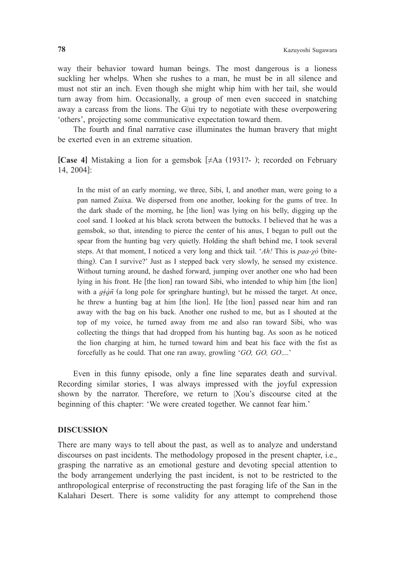way their behavior toward human beings. The most dangerous is a lioness suckling her whelps. When she rushes to a man, he must be in all silence and must not stir an inch. Even though she might whip him with her tail, she would turn away from him. Occasionally, a group of men even succeed in snatching away a carcass from the lions. The G|ui try to negotiate with these overpowering 'others', projecting some communicative expectation toward them.

The fourth and final narrative case illuminates the human bravery that might be exerted even in an extreme situation.

**[Case 4]** Mistaking a lion for a gemsbok [≠Aa (1931?- ); recorded on February 14, 2004]:

In the mist of an early morning, we three, Sibi, I, and another man, were going to a pan named Zuixa. We dispersed from one another, looking for the gums of tree. In the dark shade of the morning, he [the lion] was lying on his belly, digging up the cool sand. I looked at his black scrota between the buttocks. I believed that he was a gemsbok, so that, intending to pierce the center of his anus, I began to pull out the spear from the hunting bag very quietly. Holding the shaft behind me, I took several steps. At that moment, I noticed a very long and thick tail. '*Ah!* This is *paa-χó* (bitething). Can I survive?' Just as I stepped back very slowly, he sensed my existence. Without turning around, he dashed forward, jumping over another one who had been lying in his front. He [the lion] ran toward Sibi, who intended to whip him [the lion] with a  $q \neq \hat{q}$ *n*<sup> $\hat{q}$ </sup> (a long pole for springhare hunting), but he missed the target. At once, he threw a hunting bag at him [the lion]. He [the lion] passed near him and ran away with the bag on his back. Another one rushed to me, but as I shouted at the top of my voice, he turned away from me and also ran toward Sibi, who was collecting the things that had dropped from his hunting bag. As soon as he noticed the lion charging at him, he turned toward him and beat his face with the fist as forcefully as he could. That one ran away, growling '*GO, GO, GO*....'

Even in this funny episode, only a fine line separates death and survival. Recording similar stories, I was always impressed with the joyful expression shown by the narrator. Therefore, we return to |Xou's discourse cited at the beginning of this chapter: 'We were created together. We cannot fear him.'

#### **DISCUSSION**

There are many ways to tell about the past, as well as to analyze and understand discourses on past incidents. The methodology proposed in the present chapter, i.e., grasping the narrative as an emotional gesture and devoting special attention to the body arrangement underlying the past incident, is not to be restricted to the anthropological enterprise of reconstructing the past foraging life of the San in the Kalahari Desert. There is some validity for any attempt to comprehend those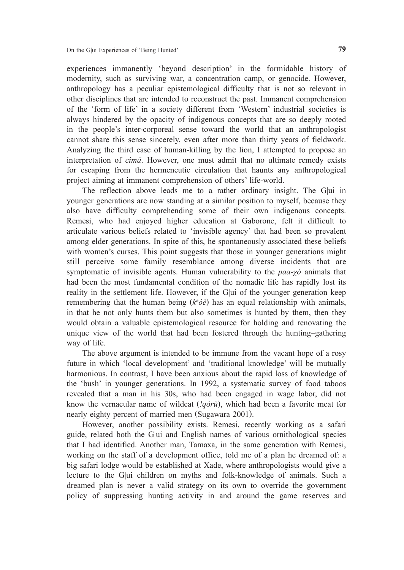experiences immanently 'beyond description' in the formidable history of modernity, such as surviving war, a concentration camp, or genocide. However, anthropology has a peculiar epistemological difficulty that is not so relevant in other disciplines that are intended to reconstruct the past. Immanent comprehension of the 'form of life' in a society different from 'Western' industrial societies is always hindered by the opacity of indigenous concepts that are so deeply rooted in the people's inter-corporeal sense toward the world that an anthropologist cannot share this sense sincerely, even after more than thirty years of fieldwork. Analyzing the third case of human-killing by the lion, I attempted to propose an interpretation of *cìmā*. However, one must admit that no ultimate remedy exists for escaping from the hermeneutic circulation that haunts any anthropological project aiming at immanent comprehension of others' life-world.

The reflection above leads me to a rather ordinary insight. The G|ui in younger generations are now standing at a similar position to myself, because they also have difficulty comprehending some of their own indigenous concepts. Remesi, who had enjoyed higher education at Gaborone, felt it difficult to articulate various beliefs related to 'invisible agency' that had been so prevalent among elder generations. In spite of this, he spontaneously associated these beliefs with women's curses. This point suggests that those in younger generations might still perceive some family resemblance among diverse incidents that are symptomatic of invisible agents. Human vulnerability to the *paa-χó* animals that had been the most fundamental condition of the nomadic life has rapidly lost its reality in the settlement life. However, if the G|ui of the younger generation keep remembering that the human being (*kh óè*) has an equal relationship with animals, in that he not only hunts them but also sometimes is hunted by them, then they would obtain a valuable epistemological resource for holding and renovating the unique view of the world that had been fostered through the hunting–gathering way of life.

The above argument is intended to be immune from the vacant hope of a rosy future in which 'local development' and 'traditional knowledge' will be mutually harmonious. In contrast, I have been anxious about the rapid loss of knowledge of the 'bush' in younger generations. In 1992, a systematic survey of food taboos revealed that a man in his 30s, who had been engaged in wage labor, did not know the vernacular name of wildcat (*!qórù*), which had been a favorite meat for nearly eighty percent of married men (Sugawara 2001).

However, another possibility exists. Remesi, recently working as a safari guide, related both the G|ui and English names of various ornithological species that I had identified. Another man, Tamaxa, in the same generation with Remesi, working on the staff of a development office, told me of a plan he dreamed of: a big safari lodge would be established at Xade, where anthropologists would give a lecture to the G|ui children on myths and folk-knowledge of animals. Such a dreamed plan is never a valid strategy on its own to override the government policy of suppressing hunting activity in and around the game reserves and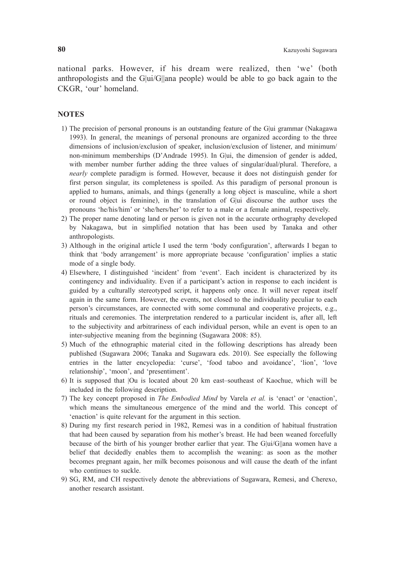national parks. However, if his dream were realized, then 'we' (both anthropologists and the G|ui/G||ana people) would be able to go back again to the CKGR, 'our' homeland.

## **NOTES**

- 1) The precision of personal pronouns is an outstanding feature of the G|ui grammar (Nakagawa 1993). In general, the meanings of personal pronouns are organized according to the three dimensions of inclusion/exclusion of speaker, inclusion/exclusion of listener, and minimum/ non-minimum memberships (D'Andrade 1995). In G|ui, the dimension of gender is added, with member number further adding the three values of singular/dual/plural. Therefore, a *nearly* complete paradigm is formed. However, because it does not distinguish gender for first person singular, its completeness is spoiled. As this paradigm of personal pronoun is applied to humans, animals, and things (generally a long object is masculine, while a short or round object is feminine), in the translation of G|ui discourse the author uses the pronouns 'he/his/him' or 'she/hers/her' to refer to a male or a female animal, respectively.
- 2) The proper name denoting land or person is given not in the accurate orthography developed by Nakagawa, but in simplified notation that has been used by Tanaka and other anthropologists.
- 3) Although in the original article I used the term 'body configuration', afterwards I began to think that 'body arrangement' is more appropriate because 'configuration' implies a static mode of a single body.
- 4) Elsewhere, I distinguished 'incident' from 'event'. Each incident is characterized by its contingency and individuality. Even if a participant's action in response to each incident is guided by a culturally stereotyped script, it happens only once. It will never repeat itself again in the same form. However, the events, not closed to the individuality peculiar to each person's circumstances, are connected with some communal and cooperative projects, e.g., rituals and ceremonies. The interpretation rendered to a particular incident is, after all, left to the subjectivity and arbitrariness of each individual person, while an event is open to an inter-subjective meaning from the beginning (Sugawara 2008: 85).
- 5) Much of the ethnographic material cited in the following descriptions has already been published (Sugawara 2006; Tanaka and Sugawara eds. 2010). See especially the following entries in the latter encyclopedia: 'curse', 'food taboo and avoidance', 'lion', 'love relationship', 'moon', and 'presentiment'.
- 6) It is supposed that |Ou is located about 20 km east–southeast of Kaochue, which will be included in the following description.
- 7) The key concept proposed in *The Embodied Mind* by Varela *et al.* is 'enact' or 'enaction', which means the simultaneous emergence of the mind and the world. This concept of 'enaction' is quite relevant for the argument in this section.
- 8) During my first research period in 1982, Remesi was in a condition of habitual frustration that had been caused by separation from his mother's breast. He had been weaned forcefully because of the birth of his younger brother earlier that year. The G|ui/G||ana women have a belief that decidedly enables them to accomplish the weaning: as soon as the mother becomes pregnant again, her milk becomes poisonous and will cause the death of the infant who continues to suckle.
- 9) SG, RM, and CH respectively denote the abbreviations of Sugawara, Remesi, and Cherexo, another research assistant.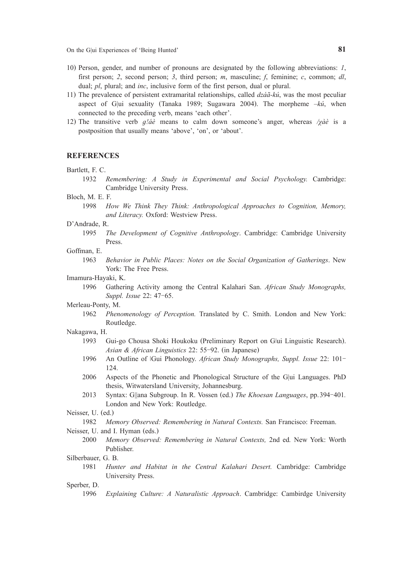On the G|ui Experiences of 'Being Hunted' **81**

- 10) Person, gender, and number of pronouns are designated by the following abbreviations: *1*, first person; *2*, second person; *3*, third person; *m*, masculine; *f*, feminine; *c*, common; *dl*, dual; *pl*, plural; and *inc*, inclusive form of the first person, dual or plural.
- 11) The prevalence of persistent extramarital relationships, called *dzáã-kú*, was the most peculiar aspect of G|ui sexuality (Tanaka 1989; Sugawara 2004). The morpheme *–kú*, when connected to the preceding verb, means 'each other'.
- 12) The transitive verb *ɡǃáè* means to calm down someone's anger, whereas */χàè* is a postposition that usually means 'above', 'on', or 'about'.

#### **REFERENCES**

- Bartlett, F. C.
	- 1932 *Remembering: A Study in Experimental and Social Psychology.* Cambridge: Cambridge University Press.

Bloch, M. E. F.

1998 *How We Think They Think: Anthropological Approaches to Cognition, Memory, and Literacy.* Oxford: Westview Press.

#### D'Andrade, R.

1995 *The Development of Cognitive Anthropology*. Cambridge: Cambridge University Press.

#### Goffman, E.

- 1963 *Behavior in Public Places: Notes on the Social Organization of Gatherings*. New York: The Free Press.
- Imamura-Hayaki, K.
	- 1996 Gathering Activity among the Central Kalahari San. *African Study Monographs, Suppl. Issue* 22: 47-65.

#### Merleau-Ponty, M.

1962 *Phenomenology of Perception.* Translated by C. Smith. London and New York: Routledge.

#### Nakagawa, H.

- 1993 Gui-go Chousa Shoki Houkoku (Preliminary Report on Glui Linguistic Research). *Asian & African Linguistics* 22: 55-92. (in Japanese)
- 1996 An Outline of ǀGui Phonology. *African Study Monographs, Suppl. Issue* 22: 101- 124.
- 2006 Aspects of the Phonetic and Phonological Structure of the G|ui Languages. PhD thesis, Witwatersland University, Johannesburg.
- 2013 Syntax: G||ana Subgroup. In R. Vossen (ed.) *The Khoesan Languages*, pp.394-401*.* London and New York: Routledge.

Neisser, U. (ed.)

1982 *Memory Observed: Remembering in Natural Contexts.* San Francisco: Freeman.

Neisser, U. and I. Hyman (eds.)

2000 *Memory Observed: Remembering in Natural Contexts,* 2nd ed*.* New York: Worth Publisher.

#### Silberbauer, G. B.

1981 *Hunter and Habitat in the Central Kalahari Desert.* Cambridge: Cambridge University Press.

Sperber, D.

1996 *Explaining Culture: A Naturalistic Approach*. Cambridge: Cambirdge University